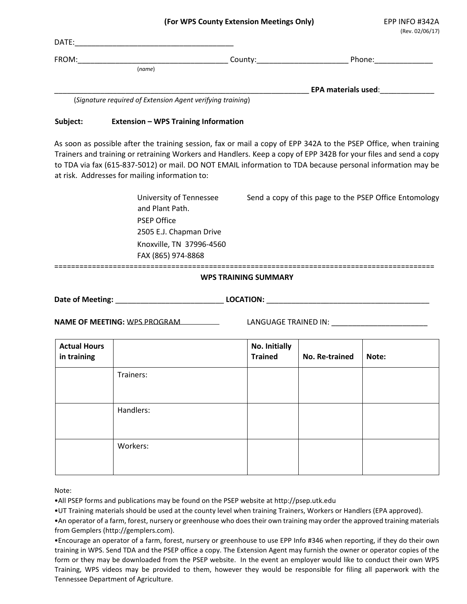|       |        | . .     | . . | (Rev. 02/06/17) |
|-------|--------|---------|-----|-----------------|
| DATE: |        |         |     |                 |
| FROM: |        | County: |     | Phone:          |
|       | (name) |         |     |                 |
|       |        |         |     |                 |

\_\_\_\_\_\_\_\_\_\_\_\_\_\_\_\_\_\_\_\_\_\_\_\_\_\_\_\_\_\_\_\_\_\_\_\_\_\_\_\_\_\_\_\_\_\_\_\_\_\_\_\_\_\_\_\_\_\_\_\_\_ **EPA materials used**:\_\_\_\_\_\_\_\_\_\_\_\_\_

(*Signature required of Extension Agent verifying training*)

## **Subject: Extension – WPS Training Information**

As soon as possible after the training session, fax or mail a copy of EPP 342A to the PSEP Office, when training Trainers and training or retraining Workers and Handlers. Keep a copy of EPP 342B for your files and send a copy to TDA via fax (615-837-5012) or mail. DO NOT EMAIL information to TDA because personal information may be at risk. Addresses for mailing information to:

> University of Tennessee Send a copy of this page to the PSEP Office Entomology and Plant Path. PSEP Office 2505 E.J. Chapman Drive Knoxville, TN 37996-4560 FAX (865) 974-8868

===========================================================================================

## **WPS TRAINING SUMMARY**

Date of Meeting: **LOCATION: LOCATION: LOCATION:**  $\blacksquare$ 

**NAME OF MEETING:** WPS PROGRAM LANGUAGE TRAINED IN:

| <b>Actual Hours</b><br>in training |           | No. Initially<br><b>Trained</b> | No. Re-trained | Note: |
|------------------------------------|-----------|---------------------------------|----------------|-------|
|                                    | Trainers: |                                 |                |       |
|                                    | Handlers: |                                 |                |       |
|                                    | Workers:  |                                 |                |       |

Note:

•All PSEP forms and publications may be found on the PSEP website at http://psep.utk.edu

•UT Training materials should be used at the county level when training Trainers, Workers or Handlers (EPA approved).

•An operator of a farm, forest, nursery or greenhouse who does their own training may order the approved training materials from Gemplers (http://gemplers.com).

•Encourage an operator of a farm, forest, nursery or greenhouse to use EPP Info #346 when reporting, if they do their own training in WPS. Send TDA and the PSEP office a copy. The Extension Agent may furnish the owner or operator copies of the form or they may be downloaded from the PSEP website. In the event an employer would like to conduct their own WPS Training, WPS videos may be provided to them, however they would be responsible for filing all paperwork with the Tennessee Department of Agriculture.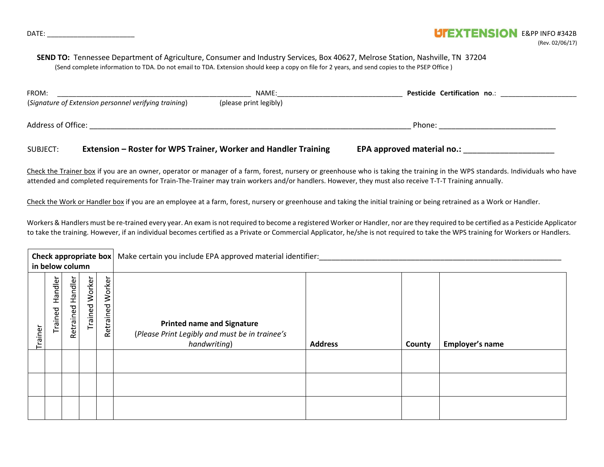## **SEND TO:** Tennessee Department of Agriculture, Consumer and Industry Services, Box 40627, Melrose Station, Nashville, TN 37204 (Send complete information to TDA. Do not email to TDA. Extension should keep a copy on file for 2 years, and send copies to the PSEP Office )

| FROM:              |                                                       | NAME:                                                           | <b>Pesticide Certification no.:</b> |  |
|--------------------|-------------------------------------------------------|-----------------------------------------------------------------|-------------------------------------|--|
|                    | (Signature of Extension personnel verifying training) | (please print legibly)                                          |                                     |  |
| Address of Office: |                                                       |                                                                 | Phone:                              |  |
| SUBJECT:           |                                                       | Extension – Roster for WPS Trainer, Worker and Handler Training | EPA approved material no.:          |  |

Check the Trainer box if you are an owner, operator or manager of a farm, forest, nursery or greenhouse who is taking the training in the WPS standards. Individuals who have attended and completed requirements for Train-The-Trainer may train workers and/or handlers. However, they must also receive T-T-T Training annually.

Check the Work or Handler box if you are an employee at a farm, forest, nursery or greenhouse and taking the initial training or being retrained as a Work or Handler.

Workers & Handlers must be re-trained every year. An exam is not required to become a registered Worker or Handler, nor are they required to be certified as a Pesticide Applicator to take the training. However, if an individual becomes certified as a Private or Commercial Applicator, he/she is not required to take the WPS training for Workers or Handlers.

| Check appropriate box<br>in below column |                    |                   |                       |                  | Make certain you include EPA approved material identifier:                                          |                |        |                 |
|------------------------------------------|--------------------|-------------------|-----------------------|------------------|-----------------------------------------------------------------------------------------------------|----------------|--------|-----------------|
| Trainer                                  | Handler<br>Trained | Retrained Handler | <b>Trained Worker</b> | Retrained Worker | <b>Printed name and Signature</b><br>(Please Print Legibly and must be in trainee's<br>handwriting) | <b>Address</b> | County | Employer's name |
|                                          |                    |                   |                       |                  |                                                                                                     |                |        |                 |
|                                          |                    |                   |                       |                  |                                                                                                     |                |        |                 |
|                                          |                    |                   |                       |                  |                                                                                                     |                |        |                 |